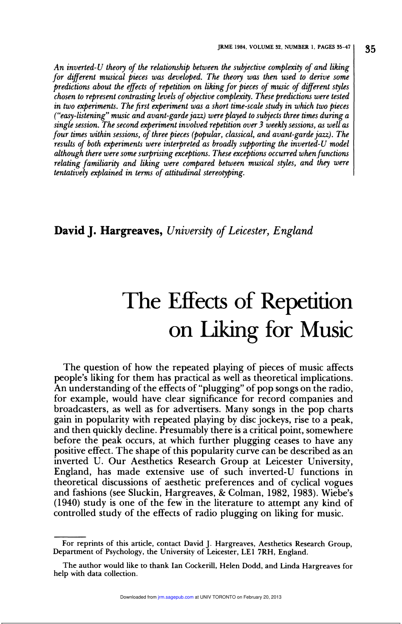**An inverted-U theory of the relationship between the subjective complexity of and liking for different musical pieces was developed. The theory was then used to derive some predictions about the effects of repetition on liking for pieces of music of different styles chosen to represent contrasting levels of objective complexity. These predictions were tested in two experiments. The first experiment was a short time-scale study in which two pieces ("easy-listening" music and avant-garde jazz) were played to subjects three times during a single session. The second experiment involved repetition over 3 weekly sessions, as well as four times within sessions, of three pieces (popular, classical, and avant-garde jazz). The results of both experiments were interpreted as broadly supporting the inverted-U model although there were some surprising exceptions. These exceptions occurred when functions relating familiarity and liking were compared between musical styles, and they were tentatively explained in terms of attitudinal stereotyping.** 

**David J. Hargreaves, University of Leicester, England** 

# **The Effects of Repetition on Liking for Music**

**The question of how the repeated playing of pieces of music affects people's liking for them has practical as well as theoretical implications. An understanding of the effects of "plugging" of pop songs on the radio, for example, would have clear significance for record companies and broadcasters, as well as for advertisers. Many songs in the pop charts gain in popularity with repeated playing by disc jockeys, rise to a peak, and then quickly decline. Presumably there is a critical point, somewhere before the peak occurs, at which further plugging ceases to have any positive effect. The shape of this popularity curve can be described as an inverted U. Our Aesthetics Research Group at Leicester University, England, has made extensive use of such inverted-U functions in theoretical discussions of aesthetic preferences and of cyclical vogues and fashions (see Sluckin, Hargreaves, & Colman, 1982, 1983). Wiebe's (1940) study is one of the few in the literature to attempt any kind of controlled study of the effects of radio plugging on liking for music.** 

**For reprints of this article, contact David J. Hargreaves, Aesthetics Research Group, Department of Psychology, the University of Leicester, LE1 7RH, England.** 

**The author would like to thank Ian Cockerill, Helen Dodd, and Linda Hargreaves for help with data collection.**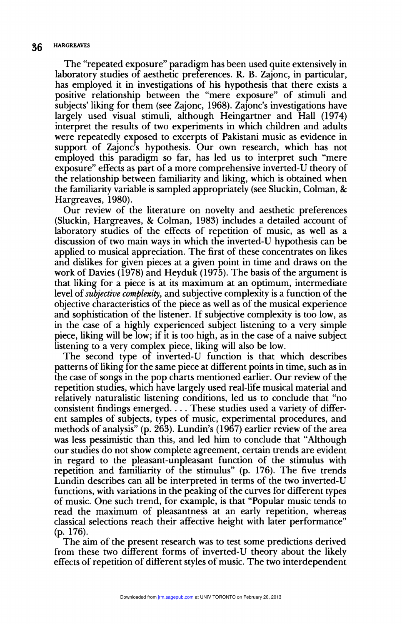**The "repeated exposure" paradigm has been used quite extensively in laboratory studies of aesthetic preferences. R. B. Zajonc, in particular, has employed it in investigations of his hypothesis that there exists a positive relationship between the "mere exposure" of stimuli and subjects' liking for them (see Zajonc, 1968). Zajonc's investigations have largely used visual stimuli, although Heingartner and Hall (1974) interpret the results of two experiments in which children and adults were repeatedly exposed to excerpts of Pakistani music as evidence in support of Zajonc's hypothesis. Our own research, which has not employed this paradigm so far, has led us to interpret such "mere exposure" effects as part of a more comprehensive inverted-U theory of the relationship between familiarity and liking, which is obtained when the familiarity variable is sampled appropriately (see Sluckin, Colman, & Hargreaves, 1980).** 

**Our review of the literature on novelty and aesthetic preferences (Sluckin, Hargreaves, & Colman, 1983) includes a detailed account of laboratory studies of the effects of repetition of music, as well as a discussion of two main ways in which the inverted-U hypothesis can be applied to musical appreciation. The first of these concentrates on likes and dislikes for given pieces at a given point in time and draws on the work of Davies (1978) and Heyduk (1975). The basis of the argument is that liking for a piece is at its maximum at an optimum, intermediate level of subjective complexity, and subjective complexity is a function of the objective characteristics of the piece as well as of the musical experience and sophistication of the listener. If subjective complexity is too low, as in the case of a highly experienced subject listening to a very simple piece, liking will be low; if it is too high, as in the case of a naive subject listening to a very complex piece, liking will also be low.** 

**The second type of inverted-U function is that which describes patterns of liking for the same piece at different points in time, such as in the case of songs in the pop charts mentioned earlier. Our review of the repetition studies, which have largely used real-life musical material and relatively naturalistic listening conditions, led us to conclude that "no consistent findings emerged.... These studies used a variety of different samples of subjects, types of music, experimental procedures, and methods of analysis" (p. 263). Lundin's (1967) earlier review of the area was less pessimistic than this, and led him to conclude that "Although our studies do not show complete agreement, certain trends are evident in regard to the pleasant-unpleasant function of the stimulus with repetition and familiarity of the stimulus" (p. 176). The five trends Lundin describes can all be interpreted in terms of the two inverted-U functions, with variations in the peaking of the curves for different types of music. One such trend, for example, is that "Popular music tends to read the maximum of pleasantness at an early repetition, whereas classical selections reach their affective height with later performance" (p. 176).** 

**The aim of the present research was to test some predictions derived from these two different forms of inverted-U theory about the likely effects of repetition of different styles of music. The two interdependent**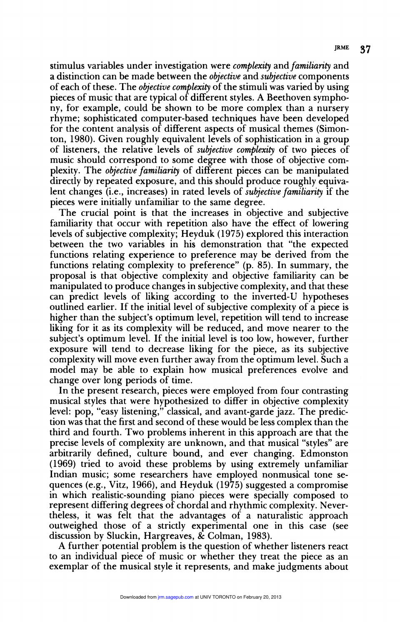**stimulus variables under investigation were complexity and familiarity and a distinction can be made between the objective and subjective components of each of these. The objective complexity of the stimuli was varied by using pieces of music that are typical of different styles. A Beethoven symphony, for example, could be shown to be more complex than a nursery rhyme; sophisticated computer-based techniques have been developed for the content analysis of different aspects of musical themes (Simonton, 1980). Given roughly equivalent levels of sophistication in a group of listeners, the relative levels of subjective complexity of two pieces of music should correspond to some degree with those of objective complexity. The objective familiarity of different pieces can be manipulated directly by repeated exposure, and this should produce roughly equivalent changes (i.e., increases) in rated levels of subjective familiarity if the pieces were initially unfamiliar to the same degree.** 

**The crucial point is that the increases in objective and subjective familiarity that occur with repetition also have the effect of lowering levels of subjective complexity; Heyduk (1975) explored this interaction between the two variables in his demonstration that "the expected functions relating experience to preference may be derived from the functions relating complexity to preference" (p. 85). In summary, the proposal is that objective complexity and objective familiarity can be manipulated to produce changes in subjective complexity, and that these can predict levels of liking according to the inverted-U hypotheses outlined earlier. If the initial level of subjective complexity of a piece is higher than the subject's optimum level, repetition will tend to increase liking for it as its complexity will be reduced, and move nearer to the subject's optimum level. If the initial level is too low, however, further exposure will tend to decrease liking for the piece, as its subjective complexity will move even further away from the optimum level. Such a model may be able to explain how musical preferences evolve and change over long periods of time.** 

**In the present research, pieces were employed from four contrasting musical styles that were hypothesized to differ in objective complexity level: pop, "easy listening," classical, and avant-garde jazz. The prediction was that the first and second of these would be less complex than the third and fourth. Two problems inherent in this approach are that the precise levels of complexity are unknown, and that musical "styles" are arbitrarily defined, culture bound, and ever changing. Edmonston (1969) tried to avoid these problems by using extremely unfamiliar Indian music; some researchers have employed nonmusical tone sequences (e.g., Vitz, 1966), and Heyduk (1975) suggested a compromise in which realistic-sounding piano pieces were specially composed to represent differing degrees of chordal and rhythmic complexity. Nevertheless, it was felt that the advantages of a naturalistic approach outweighed those of a strictly experimental one in this case (see discussion by Sluckin, Hargreaves, & Colman, 1983).** 

**A further potential problem is the question of whether listeners react to an individual piece of music or whether they treat the piece as an exemplar of the musical style it represents, and make judgments about**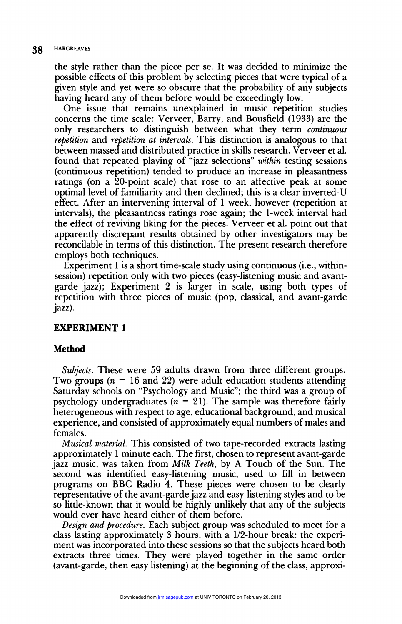**the style rather than the piece per se. It was decided to minimize the possible effects of this problem by selecting pieces that were typical of a given style and yet were so obscure that the probability of any subjects having heard any of them before would be exceedingly low.** 

**One issue that remains unexplained in music repetition studies concerns the time scale: Verveer, Barry, and Bousfield (1933) are the only researchers to distinguish between what they term continuous repetition and repetition at intervals. This distinction is analogous to that between massed and distributed practice in skills research. Verveer et al. found that repeated playing of "jazz selections" within testing sessions (continuous repetition) tended to produce an increase in pleasantness ratings (on a 20-point scale) that rose to an affective peak at some optimal level of familiarity and then declined; this is a clear inverted-U effect. After an intervening interval of 1 week, however (repetition at intervals), the pleasantness ratings rose again; the 1-week interval had the effect of reviving liking for the pieces. Verveer et al. point out that apparently discrepant results obtained by other investigators may be reconcilable in terms of this distinction. The present research therefore employs both techniques.** 

**Experiment 1 is a short time-scale study using continuous (i.e., withinsession) repetition only with two pieces (easy-listening music and avantgarde jazz); Experiment 2 is larger in scale, using both types of repetition with three pieces of music (pop, classical, and avant-garde jazz).** 

# **EXPERIMENT 1**

#### **Method**

**Subjects. These were 59 adults drawn from three different groups. Two groups (n = 16 and 22) were adult education students attending Saturday schools on "Psychology and Music"; the third was a group of**  psychology undergraduates  $(n = 21)$ . The sample was therefore fairly **heterogeneous with respect to age, educational background, and musical experience, and consisted of approximately equal numbers of males and females.** 

**Musical material. This consisted of two tape-recorded extracts lasting approximately 1 minute each. The first, chosen to represent avant-garde jazz music, was taken from Milk Teeth, by A Touch of the Sun. The second was identified easy-listening music, used to fill in between programs on BBC Radio 4. These pieces were chosen to be clearly representative of the avant-garde jazz and easy-listening styles and to be so little-known that it would be highly unlikely that any of the subjects would ever have heard either of them before.** 

**Design and procedure. Each subject group was scheduled to meet for a class lasting approximately 3 hours, with a 1/2-hour break: the experiment was incorporated into these sessions so that the subjects heard both extracts three times. They were played together in the same order (avant-garde, then easy listening) at the beginning of the class, approxi-**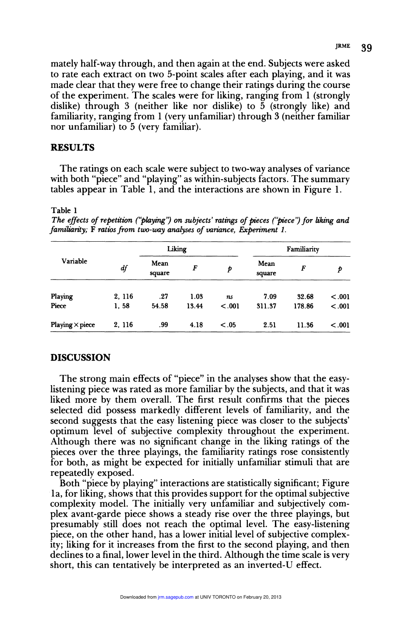**mately half-way through, and then again at the end. Subjects were asked to rate each extract on two 5-point scales after each playing, and it was made clear that they were free to change their ratings during the course of the experiment. The scales were for liking, ranging from 1 (strongly dislike) through 3 (neither like nor dislike) to 5 (strongly like) and familiarity, ranging from 1 (very unfamiliar) through 3 (neither familiar nor unfamiliar) to 5 (very familiar).** 

#### **RESULTS**

**The ratings on each scale were subject to two-way analyses of variance with both "piece" and "playing" as within-subjects factors. The summary tables appear in Table 1, and the interactions are shown in Figure 1.** 

#### **Table 1**

**The effects of repetition ('playing") on subjects' ratings of pieces ('piece') for likig and familiarity; F ratios from two-way analyses of variance, Experiment 1.** 

| Variable               |        | Liking         | Familiarity |        |                |        |        |
|------------------------|--------|----------------|-------------|--------|----------------|--------|--------|
|                        | df     | Mean<br>square | F           | p      | Mean<br>square | F      | p      |
| Playing                | 2, 116 | .27            | 1.03        | ns     | 7.09           | 32.68  | < .001 |
| Piece                  | 1.58   | 54.58          | 13.44       | < .001 | 311.37         | 178.86 | < .001 |
| Playing $\times$ piece | 2, 116 | .99            | 4.18        | < .05  | 2.51           | 11.36  | < .001 |

#### **DISCUSSION**

**The strong main effects of "piece" in the analyses show that the easylistening piece was rated as more familiar by the subjects, and that it was liked more by them overall. The first result confirms that the pieces selected did possess markedly different levels of familiarity, and the second suggests that the easy listening piece was closer to the subjects' optimum level of subjective complexity throughout the experiment. Although there was no significant change in the liking ratings of the pieces over the three playings, the familiarity ratings rose consistently for both, as might be expected for initially unfamiliar stimuli that are repeatedly exposed.** 

**Both "piece by playing" interactions are statistically significant; Figure la, for liking, shows that this provides support for the optimal subjective complexity model. The initially very unfamiliar and subjectively complex avant-garde piece shows a steady rise over the three playings, but presumably still does not reach the optimal level. The easy-listening piece, on the other hand, has a lower initial level of subjective complexity; liking for it increases from the first to the second playing, and then declines to a final, lower level in the third. Although the time scale is very short, this can tentatively be interpreted as an inverted-U effect.**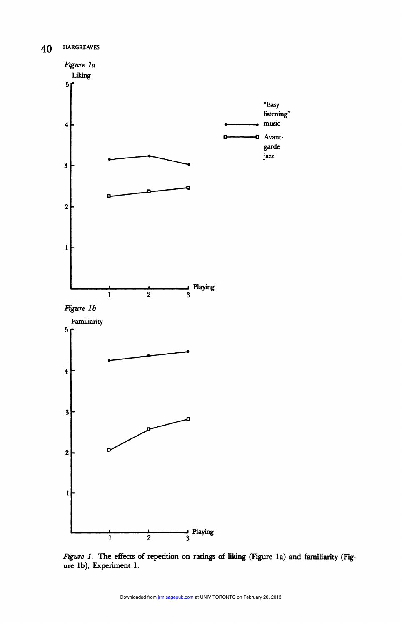

**Figure 1. The effects of repetition on ratings of liking (Figure la) and familiarity (Figure lb), Experiment 1.**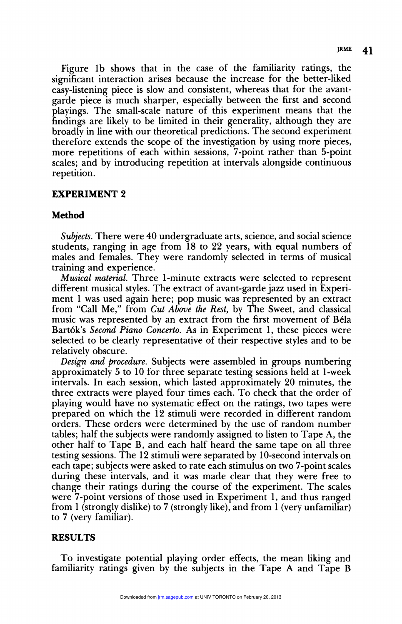**JRME 41** 

**Figure lb shows that in the case of the familiarity ratings, the significant interaction arises because the increase for the better-liked easy-listening piece is slow and consistent, whereas that for the avantgarde piece is much sharper, especially between the first and second playings. The small-scale nature of this experiment means that the findings are likely to be limited in their generality, although they are broadly in line with our theoretical predictions. The second experiment therefore extends the scope of the investigation by using more pieces, more repetitions of each within sessions, 7-point rather than 5-point scales; and by introducing repetition at intervals alongside continuous repetition.** 

#### **EXPERIMENT 2**

#### **Method**

**Subjects. There were 40 undergraduate arts, science, and social science students, ranging in age from 18 to 22 years, with equal numbers of males and females. They were randomly selected in terms of musical training and experience.** 

**Musical material. Three 1-minute extracts were selected to represent different musical styles. The extract of avant-garde jazz used in Experiment 1 was used again here; pop music was represented by an extract from "Call Me," from Cut Above the Rest, by The Sweet, and classical music was represented by an extract from the first movement of Bela Bartok's Second Piano Concerto. As in Experiment 1, these pieces were selected to be clearly representative of their respective styles and to be relatively obscure.** 

**Design and procedure. Subjects were assembled in groups numbering approximately 5 to 10 for three separate testing sessions held at 1-week intervals. In each session, which lasted approximately 20 minutes, the three extracts were played four times each. To check that the order of playing would have no systematic effect on the ratings, two tapes were prepared on which the 12 stimuli were recorded in different random orders. These orders were determined by the use of random number tables; half the subjects were randomly assigned to listen to Tape A, the other half to Tape B, and each half heard the same tape on all three testing sessions. The 12 stimuli were separated by 10-second intervals on each tape; subjects were asked to rate each stimulus on two 7-point scales during these intervals, and it was made clear that they were free to change their ratings during the course of the experiment. The scales were 7-point versions of those used in Experiment 1, and thus ranged from 1 (strongly dislike) to 7 (strongly like), and from 1 (very unfamiliar) to 7 (very familiar).** 

#### **RESULTS**

**To investigate potential playing order effects, the mean liking and familiarity ratings given by the subjects in the Tape A and Tape B**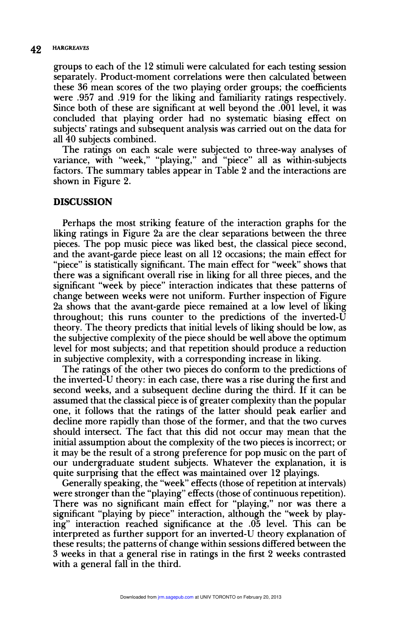#### **42 HARGREAVES**

**groups to each of the 12 stimuli were calculated for each testing session separately. Product-moment correlations were then calculated between these 36 mean scores of the two playing order groups; the coefficients were .957 and .919 for the liking and familiarity ratings respectively. Since both of these are significant at well beyond the .001 level, it was concluded that playing order had no systematic biasing effect on subjects' ratings and subsequent analysis was carried out on the data for all 40 subjects combined.** 

**The ratings on each scale were subjected to three-way analyses of variance, with "week," "playing," and "piece" all as within-subjects factors. The summary tables appear in Table 2 and the interactions are shown in Figure 2.** 

### **DISCUSSION**

**Perhaps the most striking feature of the interaction graphs for the liking ratings in Figure 2a are the clear separations between the three pieces. The pop music piece was liked best, the classical piece second, and the avant-garde piece least on all 12 occasions; the main effect for "piece" is statistically significant. The main effect for "week" shows that there was a significant overall rise in liking for all three pieces, and the significant "week by piece" interaction indicates that these patterns of change between weeks were not uniform. Further inspection of Figure 2a shows that the avant-garde piece remained at a low level of liking throughout; this runs counter to the predictions of the inverted-U theory. The theory predicts that initial levels of liking should be low, as the subjective complexity of the piece should be well above the optimum level for most subjects; and that repetition should produce a reduction in subjective complexity, with a corresponding increase in liking.** 

**The ratings of the other two pieces do conform to the predictions of the inverted-U theory: in each case, there was a rise during the first and second weeks, and a subsequent decline during the third. If it can be assumed that the classical piece is of greater complexity than the popular one, it follows that the ratings of the latter should peak earlier and decline more rapidly than those of the former, and that the two curves should intersect. The fact that this did not occur may mean that the initial assumption about the complexity of the two pieces is incorrect; or it may be the result of a strong preference for pop music on the part of our undergraduate student subjects. Whatever the explanation, it is quite surprising that the effect was maintained over 12 playings.** 

**Generally speaking, the "week" effects (those of repetition at intervals) were stronger than the "playing" effects (those of continuous repetition). There was no significant main effect for "playing," nor was there a significant "playing by piece" interaction, although the "week by playing" interaction reached significance at the .05 level. This can be interpreted as further support for an inverted-U theory explanation of these results; the patterns of change within sessions differed between the 3 weeks in that a general rise in ratings in the first 2 weeks contrasted with a general fall in the third.**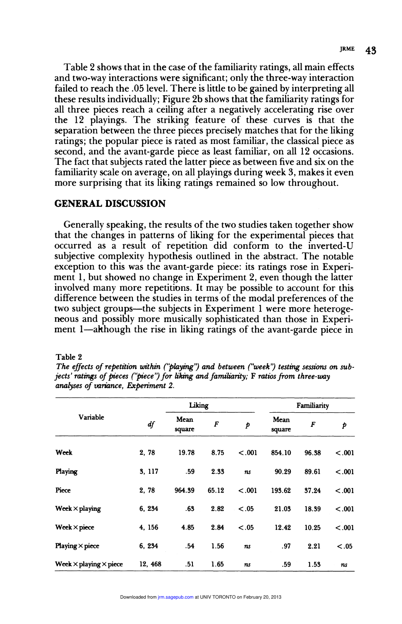**Table 2 shows that in the case of the familiarity ratings, all main effects and two-way interactions were significant; only the three-way interaction failed to reach the .05 level. There is little to be gained by interpreting all these results individually; Figure 2b shows that the familiarity ratings for all three pieces reach a ceiling after a negatively accelerating rise over the 12 playings. The striking feature of these curves is that the separation between the three pieces precisely matches that for the liking ratings; the popular piece is rated as most familiar, the classical piece as second, and the avant-garde piece as least familiar, on all 12 occasions. The fact that subjects rated the latter piece as between five and six on the familiarity scale on average, on all playings during week 3, makes it even more surprising that its liking ratings remained so low throughout.** 

# **GENERAL DISCUSSION**

**Generally speaking, the results of the two studies taken together show that the changes in patterns of liking for the experimental pieces that occurred as a result of repetition did conform to the inverted-U subjective complexity hypothesis outlined in the abstract. The notable exception to this was the avant-garde piece: its ratings rose in Experiment 1, but showed no change in Experiment 2, even though the latter involved many more repetitions. It may be possible to account for this difference between the studies in terms of the modal preferences of the**  two subject groups—the subjects in Experiment 1 were more heteroge**neous and possibly more musically sophisticated than those in Experi**ment 1—although the rise in liking ratings of the avant-garde piece in

**Table 2** 

The effects of repetition within ("playing") and between ("week") testing sessions on sub**jects' ratings of pieces ("piece') for liking and familiarity; F ratios from three-way analyses of variance, Experiment 2.** 

|                                      |         | Familiarity    |       |           |                |       |                    |
|--------------------------------------|---------|----------------|-------|-----------|----------------|-------|--------------------|
| Variable                             | df      | Mean<br>square | F     | $\pmb{p}$ | Mean<br>square | F     | p                  |
| Week                                 | 2, 78   | 19.78          | 8.75  | $-.001$   | 854.10         | 96.38 | $-.001$            |
| Playing                              | 3, 117  | .59            | 2.33  | ns        | 90.29          | 89.61 | $-.001$            |
| Piece                                | 2,78    | 964.39         | 65.12 | $-.001$   | 193.62         | 37.24 | $-.001$            |
| Week $\times$ playing                | 6.234   | .63            | 2.82  | < 0.05    | 21.03          | 18.39 | < .001             |
| Week $\times$ piece                  | 4, 156  | 4.85           | 2.84  | $-.05$    | 12.42          | 10.25 | < .001             |
| Playing $\times$ piece               | 6, 234  | .54            | 1.56  | ns        | .97            | 2.21  | < 0.05             |
| Week $\times$ playing $\times$ piece | 12, 468 | .51            | 1.65  | ns        | .59            | 1.53  | $\boldsymbol{n}$ s |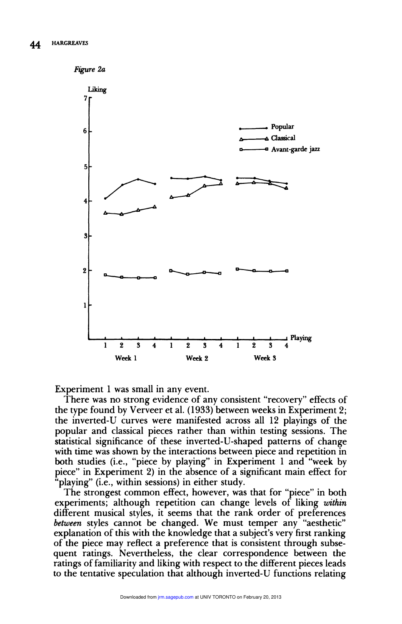

**Experiment 1 was small in any event.** 

**There was no strong evidence of any consistent "recovery" effects of the type found by Verveer et al. (1933) between weeks in Experiment 2; the inverted-U curves were manifested across all 12 playings of the popular and classical pieces rather than within testing sessions. The statistical significance of these inverted-U-shaped patterns of change with time was shown by the interactions between piece and repetition in both studies (i.e., "piece by playing" in Experiment 1 and "week by piece" in Experiment 2) in the absence of a significant main effect for "playing" (i.e., within sessions) in either study.** 

**The strongest common effect, however, was that for "piece" in both experiments; although repetition can change levels of liking within different musical styles, it seems that the rank order of preferences between styles cannot be changed. We must temper any "aesthetic" explanation of this with the knowledge that a subject's very first ranking of the piece may reflect a preference that is consistent through subsequent ratings. Nevertheless, the clear correspondence between the ratings of familiarity and liking with respect to the different pieces leads to the tentative speculation that although inverted-U functions relating**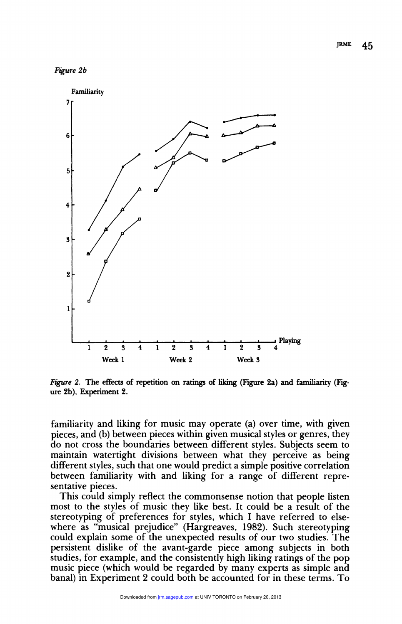



**Figure 2. The effects of repetition on ratings of liking (Figure 2a) and familiarity (Figure 2b), Experiment 2.** 

**familiarity and liking for music may operate (a) over time, with given pieces, and (b) between pieces within given musical styles or genres, they do not cross the boundaries between different styles. Subjects seem to maintain watertight divisions between what they perceive as being different styles, such that one would predict a simple positive correlation between familiarity with and liking for a range of different representative pieces.** 

**This could simply reflect the commonsense notion that people listen most to the styles of music they like best. It could be a result of the stereotyping of preferences for styles, which I have referred to elsewhere as "musical prejudice" (Hargreaves, 1982). Such stereotyping could explain some of the unexpected results of our two studies. The persistent dislike of the avant-garde piece among subjects in both studies, for example, and the consistently high liking ratings of the pop music piece (which would be regarded by many experts as simple and banal) in Experiment 2 could both be accounted for in these terms. To**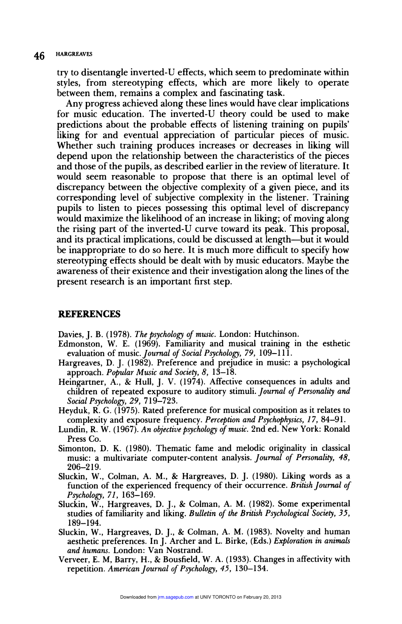**try to disentangle inverted-U effects, which seem to predominate within styles, from stereotyping effects, which are more likely to operate between them, remains a complex and fascinating task.** 

**Any progress achieved along these lines would have clear implications for music education. The inverted-U theory could be used to make predictions about the probable effects of listening training on pupils' liking for and eventual appreciation of particular pieces of music. Whether such training produces increases or decreases in liking will depend upon the relationship between the characteristics of the pieces and those of the pupils, as described earlier in the review of literature. It would seem reasonable to propose that there is an optimal level of discrepancy between the objective complexity of a given piece, and its corresponding level of subjective complexity in the listener. Training pupils to listen to pieces possessing this optimal level of discrepancy would maximize the likelihood of an increase in liking; of moving along the rising part of the inverted-U curve toward its peak. This proposal, and its practical implications, could be discussed at length-but it would be inappropriate to do so here. It is much more difficult to specify how stereotyping effects should be dealt with by music educators. Maybe the awareness of their existence and their investigation along the lines of the present research is an important first step.** 

# **REFERENCES**

**Davies, J. B. (1978). The psychology of music. London: Hutchinson.** 

- **Edmonston, W. E. (1969). Familiarity and musical training in the esthetic evaluation of music. Journal of Social Psychology, 79, 109-111.**
- **Hargreaves, D. J. (1982). Preference and prejudice in music: a psychological approach. Popular Music and Society, 8, 13-18.**
- **Heingartner, A., & Hull, J. V. (1974). Affective consequences in adults and children of repeated exposure to auditory stimuli. Journal of Personality and Social Psychology, 29, 719-723.**
- **Heyduk, R. G. (1975). Rated preference for musical composition as it relates to complexity and exposure frequency. Perception and Psychophysics, 17, 84-91.**
- **Lundin, R. W. (1967). An objective psychology of music. 2nd ed. New York: Ronald Press Co.**
- **Simonton, D. K. (1980). Thematic fame and melodic originality in classical music: a multivariate computer-content analysis. Journal of Personality, 48, 206-219.**
- **Sluckin, W., Colman, A. M., & Hargreaves, D. J. (1980). Liking words as a function of the experienced frequency of their occurrence. British Journal of Psychology, 71, 163-169.**
- **Sluckin, W., Hargreaves, D. J., & Colman, A. M. (1982). Some experimental studies of familiarity and liking. Bulletin of the British Psychological Society, 35, 189-194.**
- **Sluckin, W., Hargreaves, D. J., & Colman, A. M. (1983). Novelty and human aesthetic preferences. In J. Archer and L. Birke, (Eds.) Exploration in animals and humans. London: Van Nostrand.**
- **Verveer, E. M, Barry, H., & Bousfield, W. A. (1933). Changes in affectivity with repetition. American Journal of Psychology, 45, 130-134.**